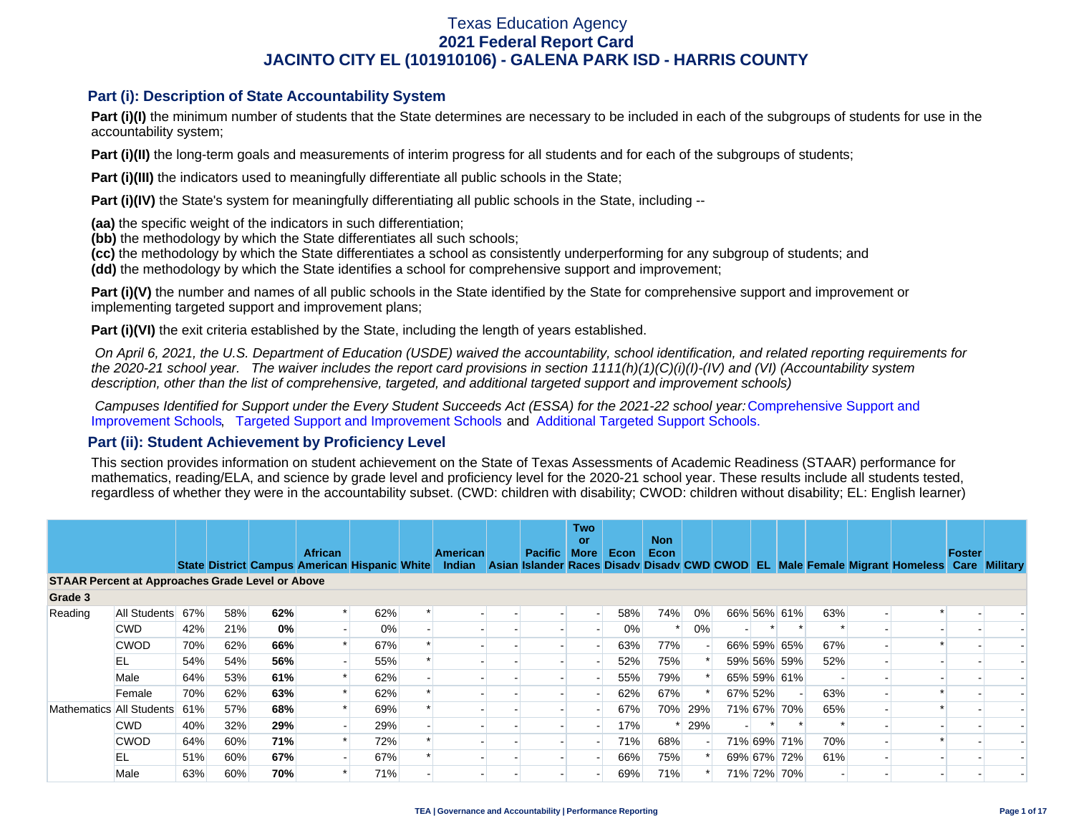### **Part (i): Description of State Accountability System**

Part (i)(I) the minimum number of students that the State determines are necessary to be included in each of the subgroups of students for use in the accountability system;

**Part (i)(II)** the long-term goals and measurements of interim progress for all students and for each of the subgroups of students;

**Part (i)(III)** the indicators used to meaningfully differentiate all public schools in the State;

**Part (i)(IV)** the State's system for meaningfully differentiating all public schools in the State, including --

**(aa)** the specific weight of the indicators in such differentiation;

**(bb)** the methodology by which the State differentiates all such schools;

**(cc)** the methodology by which the State differentiates a school as consistently underperforming for any subgroup of students; and

**(dd)** the methodology by which the State identifies a school for comprehensive support and improvement;

**Part (i)(V)** the number and names of all public schools in the State identified by the State for comprehensive support and improvement or implementing targeted support and improvement plans;

**Part (i)(VI)** the exit criteria established by the State, including the length of years established.

 *On April 6, 2021, the U.S. Department of Education (USDE) waived the accountability, school identification, and related reporting requirements for the 2020-21 school year. The waiver includes the report card provisions in section 1111(h)(1)(C)(i)(I)-(IV) and (VI) (Accountability system description, other than the list of comprehensive, targeted, and additional targeted support and improvement schools)* 

*Campuses Identified for Support under the Every Student Succeeds Act (ESSA) for the 2021-22 school year:* [Comprehensive Support and](https://tea.texas.gov/sites/default/files/comprehensive_support_2021.xlsx) [Improvement Schools](https://tea.texas.gov/sites/default/files/comprehensive_support_2021.xlsx), [Targeted Support and Improvement Schools](https://tea.texas.gov/sites/default/files/targeted_support_2021.xlsx) and [Additional Targeted Support Schools.](https://tea.texas.gov/sites/default/files/additional_targeted_support_2021.xlsx)

### **Part (ii): Student Achievement by Proficiency Level**

This section provides information on student achievement on the State of Texas Assessments of Academic Readiness (STAAR) performance for mathematics, reading/ELA, and science by grade level and proficiency level for the 2020-21 school year. These results include all students tested, regardless of whether they were in the accountability subset. (CWD: children with disability; CWOD: children without disability; EL: English learner)

|                          |                                                         |     |     |     | <b>African</b> |                                               |  | American |  | <b>Pacific</b> | <b>Two</b><br>or<br><b>More</b> | Econ | <b>Non</b><br>Econ |         |         |             |     |                                                                                           | Foster |  |
|--------------------------|---------------------------------------------------------|-----|-----|-----|----------------|-----------------------------------------------|--|----------|--|----------------|---------------------------------|------|--------------------|---------|---------|-------------|-----|-------------------------------------------------------------------------------------------|--------|--|
|                          |                                                         |     |     |     |                | State District Campus American Hispanic White |  | Indian   |  |                |                                 |      |                    |         |         |             |     | Asian Islander Races Disady Disady CWD CWOD EL Male Female Migrant Homeless Care Military |        |  |
|                          | <b>STAAR Percent at Approaches Grade Level or Above</b> |     |     |     |                |                                               |  |          |  |                |                                 |      |                    |         |         |             |     |                                                                                           |        |  |
| Grade 3                  |                                                         |     |     |     |                |                                               |  |          |  |                |                                 |      |                    |         |         |             |     |                                                                                           |        |  |
| Reading                  | All Students                                            | 67% | 58% | 62% |                | 62%                                           |  |          |  |                |                                 | 58%  | 74%                | 0%      |         | 66% 56% 61% | 63% |                                                                                           |        |  |
|                          | <b>CWD</b>                                              | 42% | 21% | 0%  |                | 0%                                            |  |          |  |                |                                 | 0%   |                    | $0\%$   |         |             |     |                                                                                           |        |  |
|                          | <b>CWOD</b>                                             | 70% | 62% | 66% |                | 67%                                           |  |          |  |                |                                 | 63%  | 77%                |         |         | 66% 59% 65% | 67% |                                                                                           |        |  |
|                          | EL                                                      | 54% | 54% | 56% |                | 55%                                           |  |          |  |                |                                 | 52%  | 75%                |         |         | 59% 56% 59% | 52% |                                                                                           |        |  |
|                          | Male                                                    | 64% | 53% | 61% |                | 62%                                           |  |          |  |                |                                 | 55%  | 79%                |         |         | 65% 59% 61% |     |                                                                                           |        |  |
|                          | Female                                                  | 70% | 62% | 63% |                | 62%                                           |  |          |  |                |                                 | 62%  | 67%                |         | 67% 52% |             | 63% |                                                                                           |        |  |
| Mathematics All Students |                                                         | 61% | 57% | 68% |                | 69%                                           |  |          |  |                |                                 | 67%  |                    | 70% 29% |         | 71% 67% 70% | 65% |                                                                                           |        |  |
|                          | <b>CWD</b>                                              | 40% | 32% | 29% |                | 29%                                           |  |          |  |                |                                 | 17%  |                    | 29%     |         |             |     |                                                                                           |        |  |
|                          | <b>CWOD</b>                                             | 64% | 60% | 71% |                | 72%                                           |  |          |  |                |                                 | 71%  | 68%                |         |         | 71% 69% 71% | 70% |                                                                                           |        |  |
|                          | EL                                                      | 51% | 60% | 67% |                | 67%                                           |  |          |  |                |                                 | 66%  | 75%                |         |         | 69% 67% 72% | 61% |                                                                                           |        |  |
|                          | Male                                                    | 63% | 60% | 70% |                | 71%                                           |  |          |  |                |                                 | 69%  | 71%                |         |         | 71% 72% 70% |     |                                                                                           |        |  |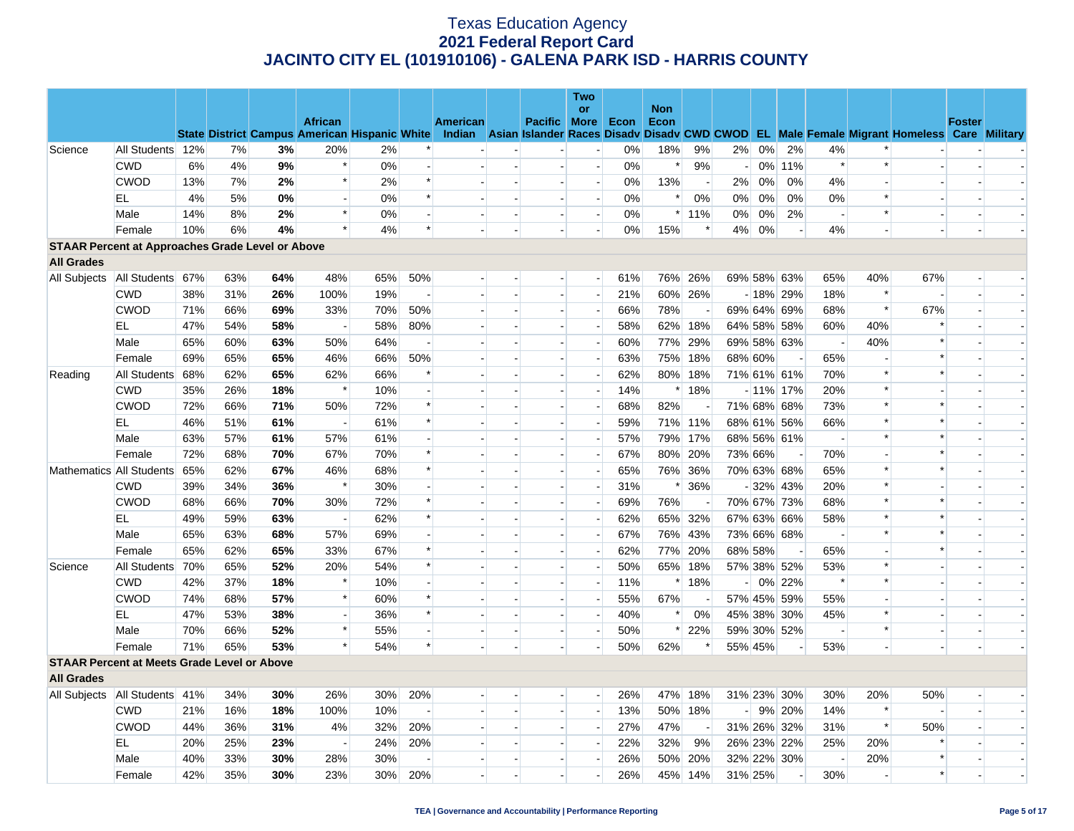|                                                         |                  |     |     |     |                                                      |     |                          |          |                          |                          | <b>Two</b>               |       |            |                          |         |       |             |                          |                |                                                                                                  |               |                          |
|---------------------------------------------------------|------------------|-----|-----|-----|------------------------------------------------------|-----|--------------------------|----------|--------------------------|--------------------------|--------------------------|-------|------------|--------------------------|---------|-------|-------------|--------------------------|----------------|--------------------------------------------------------------------------------------------------|---------------|--------------------------|
|                                                         |                  |     |     |     | <b>African</b>                                       |     |                          |          |                          |                          | or                       |       | <b>Non</b> |                          |         |       |             |                          |                |                                                                                                  | <b>Foster</b> |                          |
|                                                         |                  |     |     |     | <b>State District Campus American Hispanic White</b> |     |                          | American |                          | Pacific More             |                          | Econ  | Econ       |                          |         |       |             |                          |                | Indian Asian Islander Races Disadv Disadv CWD CWOD EL Male Female Migrant Homeless Care Military |               |                          |
| Science                                                 | All Students 12% |     | 7%  | 3%  | 20%                                                  | 2%  |                          |          |                          |                          | $\blacksquare$           | 0%    | 18%        | 9%                       | 2%      | $0\%$ | 2%          | 4%                       |                |                                                                                                  |               |                          |
|                                                         | <b>CWD</b>       | 6%  | 4%  | 9%  | $\ast$                                               | 0%  |                          |          |                          |                          | $\sim$                   | 0%    | $\ast$     | 9%                       |         |       | 0% 11%      | $\ast$                   | $\ast$         |                                                                                                  |               |                          |
|                                                         | <b>CWOD</b>      | 13% | 7%  | 2%  | $\ast$                                               | 2%  |                          |          |                          | $\sim$                   | $\blacksquare$           | 0%    | 13%        | $\overline{\phantom{a}}$ | 2%      | 0%    | 0%          | 4%                       |                |                                                                                                  |               |                          |
|                                                         | EL               | 4%  | 5%  | 0%  | $\overline{a}$                                       | 0%  | $\ast$                   |          |                          |                          | $\overline{\phantom{a}}$ | 0%    | $\ast$     | 0%                       | $0\%$   | 0%    | 0%          | 0%                       | $\ast$         |                                                                                                  |               |                          |
|                                                         | Male             | 14% | 8%  | 2%  | $\ast$                                               | 0%  |                          |          | $\overline{\phantom{a}}$ |                          | $\overline{\phantom{a}}$ | 0%    |            | $*$ 11%                  | $0\%$   | 0%    | 2%          | $\overline{\phantom{a}}$ | *              |                                                                                                  |               |                          |
|                                                         | Female           | 10% | 6%  | 4%  | $\ast$                                               | 4%  | $\ast$                   |          |                          |                          | $\overline{a}$           | $0\%$ | 15%        | ∗                        | 4%      | 0%    |             | 4%                       |                |                                                                                                  |               |                          |
| <b>STAAR Percent at Approaches Grade Level or Above</b> |                  |     |     |     |                                                      |     |                          |          |                          |                          |                          |       |            |                          |         |       |             |                          |                |                                                                                                  |               |                          |
| <b>All Grades</b>                                       |                  |     |     |     |                                                      |     |                          |          |                          |                          |                          |       |            |                          |         |       |             |                          |                |                                                                                                  |               |                          |
| All Subjects                                            | All Students 67% |     | 63% | 64% | 48%                                                  | 65% | 50%                      |          |                          |                          | $\overline{a}$           | 61%   |            | 76% 26%                  |         |       | 69% 58% 63% | 65%                      | 40%            | 67%                                                                                              |               |                          |
|                                                         | <b>CWD</b>       | 38% | 31% | 26% | 100%                                                 | 19% | $\blacksquare$           |          | $\blacksquare$           | $\sim$                   | $\overline{\phantom{0}}$ | 21%   |            | 60% 26%                  |         |       | $-18\%$ 29% | 18%                      | $\ast$         |                                                                                                  |               |                          |
|                                                         | <b>CWOD</b>      | 71% | 66% | 69% | 33%                                                  | 70% | 50%                      |          | $\overline{a}$           | $\overline{a}$           | $\overline{\phantom{a}}$ | 66%   | 78%        | $\overline{a}$           |         |       | 69% 64% 69% | 68%                      | $\ast$         | 67%                                                                                              |               |                          |
|                                                         | EL               | 47% | 54% | 58% | $\overline{\phantom{a}}$                             | 58% | 80%                      |          |                          | $\overline{\phantom{a}}$ | $\blacksquare$           | 58%   | 62%        | 18%                      |         |       | 64% 58% 58% | 60%                      | 40%            |                                                                                                  |               |                          |
|                                                         | Male             | 65% | 60% | 63% | 50%                                                  | 64% | $\overline{\phantom{a}}$ |          |                          | ц,                       | н.                       | 60%   | 77%        | 29%                      |         |       | 69% 58% 63% | $\overline{\phantom{a}}$ | 40%            | $\ast$                                                                                           |               |                          |
|                                                         | Female           | 69% | 65% | 65% | 46%                                                  | 66% | 50%                      |          |                          | $\overline{\phantom{a}}$ | $\blacksquare$           | 63%   | 75%        | 18%                      | 68% 60% |       |             | 65%                      |                |                                                                                                  |               |                          |
| Reading                                                 | All Students     | 68% | 62% | 65% | 62%                                                  | 66% |                          |          | $\overline{a}$           | $\overline{\phantom{a}}$ | $\overline{\phantom{a}}$ | 62%   | 80%        | 18%                      |         |       | 71% 61% 61% | 70%                      | $\ast$         |                                                                                                  |               |                          |
|                                                         | <b>CWD</b>       | 35% | 26% | 18% | $\ast$                                               | 10% |                          |          |                          |                          | $\blacksquare$           | 14%   | $\ast$     | 18%                      |         |       | $-11\%$ 17% | 20%                      | $\ast$         |                                                                                                  |               |                          |
|                                                         | <b>CWOD</b>      | 72% | 66% | 71% | 50%                                                  | 72% |                          |          |                          | $\sim$                   | $\blacksquare$           | 68%   | 82%        |                          |         |       | 71% 68% 68% | 73%                      | $\ast$         |                                                                                                  |               |                          |
|                                                         | EL               | 46% | 51% | 61% |                                                      | 61% |                          |          |                          |                          | $\overline{\phantom{a}}$ | 59%   |            | 71% 11%                  |         |       | 68% 61% 56% | 66%                      | $\ast$         |                                                                                                  |               |                          |
|                                                         | Male             | 63% | 57% | 61% | 57%                                                  | 61% |                          |          |                          | $\sim$                   | $\blacksquare$           | 57%   | 79%        | 17%                      |         |       | 68% 56% 61% | $\overline{\phantom{a}}$ | *              |                                                                                                  |               |                          |
|                                                         | Female           | 72% | 68% | 70% | 67%                                                  | 70% |                          |          |                          | $\overline{a}$           | $\overline{\phantom{a}}$ | 67%   | 80%        | 20%                      | 73% 66% |       |             | 70%                      | $\overline{a}$ |                                                                                                  |               |                          |
| Mathematics All Students                                |                  | 65% | 62% | 67% | 46%                                                  | 68% |                          |          |                          | $\overline{\phantom{a}}$ | $\blacksquare$           | 65%   |            | 76% 36%                  |         |       | 70% 63% 68% | 65%                      | $\ast$         |                                                                                                  |               |                          |
|                                                         | <b>CWD</b>       | 39% | 34% | 36% | $\ast$                                               | 30% |                          |          |                          | $\overline{\phantom{a}}$ | $\overline{a}$           | 31%   | ∗          | 36%                      |         |       | $-32\%$ 43% | 20%                      | $\ast$         |                                                                                                  |               |                          |
|                                                         | <b>CWOD</b>      | 68% | 66% | 70% | 30%                                                  | 72% |                          |          |                          |                          | $\blacksquare$           | 69%   | 76%        |                          |         |       | 70% 67% 73% | 68%                      | $\ast$         |                                                                                                  |               |                          |
|                                                         | EL               | 49% | 59% | 63% | $\overline{\phantom{a}}$                             | 62% | $\ast$                   |          |                          | $\overline{\phantom{a}}$ | $\overline{\phantom{a}}$ | 62%   |            | 65% 32%                  |         |       | 67% 63% 66% | 58%                      | $\ast$         | $\ast$                                                                                           |               |                          |
|                                                         | Male             | 65% | 63% | 68% | 57%                                                  | 69% |                          |          |                          |                          | $\overline{\phantom{a}}$ | 67%   | 76%        | 43%                      |         |       | 73% 66% 68% | $\overline{\phantom{a}}$ | $\ast$         | $\ast$                                                                                           |               |                          |
|                                                         | Female           | 65% | 62% | 65% | 33%                                                  | 67% |                          |          |                          | $\sim$                   | $\blacksquare$           | 62%   | 77%        | 20%                      | 68% 58% |       |             | 65%                      |                |                                                                                                  |               |                          |
| Science                                                 | All Students     | 70% | 65% | 52% | 20%                                                  | 54% | $\ast$                   |          |                          | $\overline{a}$           | $\overline{\phantom{a}}$ | 50%   | 65%        | 18%                      |         |       | 57% 38% 52% | 53%                      | $\ast$         |                                                                                                  |               |                          |
|                                                         | <b>CWD</b>       | 42% | 37% | 18% | $\ast$                                               | 10% |                          |          |                          | $\sim$                   | $\blacksquare$           | 11%   |            | 18%                      |         |       | 0% 22%      | $\ast$                   | $\ast$         |                                                                                                  |               |                          |
|                                                         | <b>CWOD</b>      | 74% | 68% | 57% | $\ast$                                               | 60% | $\ast$                   |          | $\overline{\phantom{a}}$ | $\overline{\phantom{a}}$ | $\overline{\phantom{a}}$ | 55%   | 67%        |                          |         |       | 57% 45% 59% | 55%                      |                |                                                                                                  |               |                          |
|                                                         | EL               | 47% | 53% | 38% | $\blacksquare$                                       | 36% |                          |          |                          | $\overline{\phantom{a}}$ | $\blacksquare$           | 40%   | $\ast$     | 0%                       |         |       | 45% 38% 30% | 45%                      | $\ast$         |                                                                                                  |               |                          |
|                                                         | Male             | 70% | 66% | 52% | $\ast$                                               | 55% |                          |          | $\blacksquare$           | $\sim$                   | $\overline{a}$           | 50%   | $\ast$     | 22%                      |         |       | 59% 30% 52% | $\sim$                   | $\ast$         |                                                                                                  |               |                          |
|                                                         | Female           | 71% | 65% | 53% | $\ast$                                               | 54% | $\ast$                   |          |                          |                          | $\overline{\phantom{a}}$ | 50%   | 62%        |                          | 55% 45% |       |             | 53%                      |                |                                                                                                  |               |                          |
| <b>STAAR Percent at Meets Grade Level or Above</b>      |                  |     |     |     |                                                      |     |                          |          |                          |                          |                          |       |            |                          |         |       |             |                          |                |                                                                                                  |               |                          |
| <b>All Grades</b>                                       |                  |     |     |     |                                                      |     |                          |          |                          |                          |                          |       |            |                          |         |       |             |                          |                |                                                                                                  |               |                          |
| All Subjects   All Students 41%                         |                  |     | 34% | 30% | 26%                                                  | 30% | 20%                      |          |                          |                          | $\overline{a}$           | 26%   |            | 47% 18%                  |         |       | 31% 23% 30% | 30%                      | 20%            | 50%                                                                                              |               |                          |
|                                                         | <b>CWD</b>       | 21% | 16% | 18% | 100%                                                 | 10% | $\overline{\phantom{a}}$ |          |                          | $\overline{a}$           | $\overline{\phantom{a}}$ | 13%   | 50%        | 18%                      |         |       | $-$ 9% 20%  | 14%                      | $\ast$         |                                                                                                  |               |                          |
|                                                         | <b>CWOD</b>      | 44% | 36% | 31% | 4%                                                   | 32% | 20%                      |          | $\overline{\phantom{a}}$ | $\overline{\phantom{a}}$ | $\overline{\phantom{a}}$ | 27%   | 47%        | $\overline{\phantom{a}}$ |         |       | 31% 26% 32% | 31%                      | $\ast$         | 50%                                                                                              |               |                          |
|                                                         | EL               | 20% | 25% | 23% | $\overline{\phantom{a}}$                             | 24% | 20%                      |          | $\equiv$ )               | $\overline{a}$           | $\overline{a}$           | 22%   | 32%        | 9%                       |         |       | 26% 23% 22% | 25%                      | 20%            |                                                                                                  |               |                          |
|                                                         | Male             | 40% | 33% | 30% | 28%                                                  | 30% |                          |          |                          | $\sim$                   |                          | 26%   |            | 50% 20%                  |         |       | 32% 22% 30% |                          | 20%            |                                                                                                  |               |                          |
|                                                         | Female           | 42% | 35% | 30% | 23%                                                  | 30% | 20%                      |          |                          | $\overline{a}$           | $\overline{a}$           | 26%   | 45%        | 14%                      | 31% 25% |       |             | 30%                      |                | $\ast$                                                                                           |               | $\overline{\phantom{a}}$ |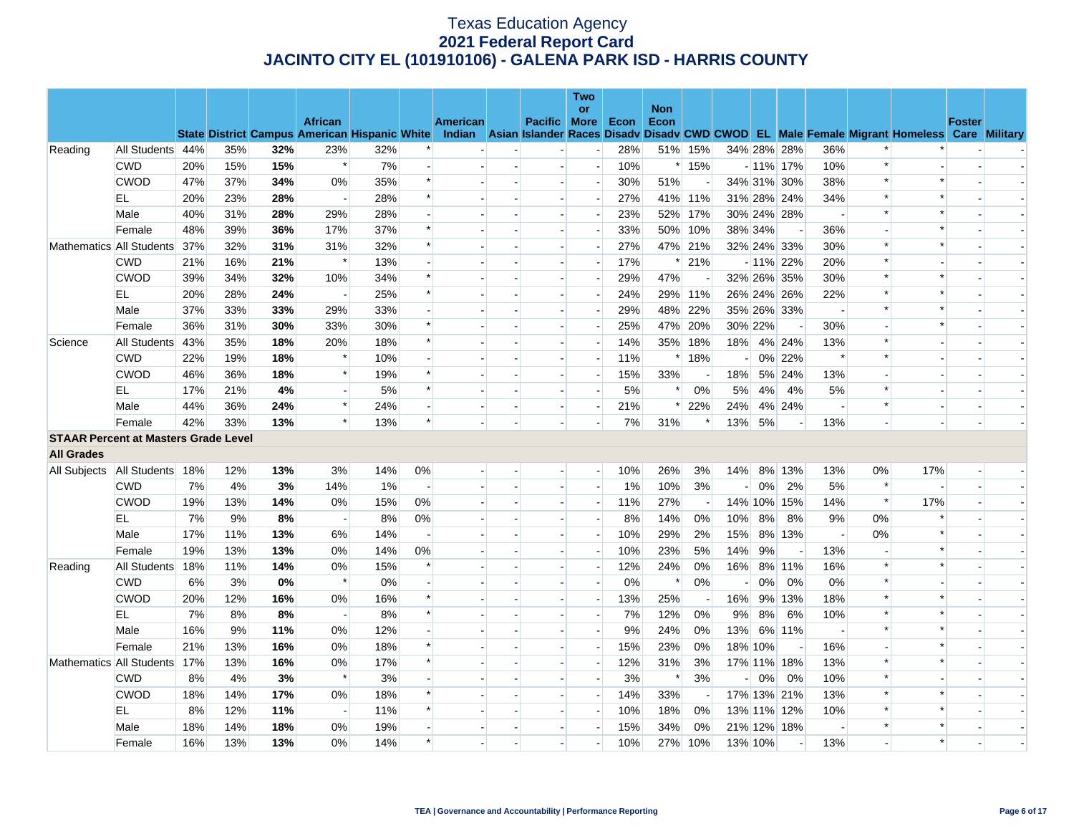|                                             |                  |     |     |     |                                                      |       |                          |                 |                          | <b>Two</b>     |      |                    |         |                          |         |                          |                          |                          |                                                                                                  |               |  |
|---------------------------------------------|------------------|-----|-----|-----|------------------------------------------------------|-------|--------------------------|-----------------|--------------------------|----------------|------|--------------------|---------|--------------------------|---------|--------------------------|--------------------------|--------------------------|--------------------------------------------------------------------------------------------------|---------------|--|
|                                             |                  |     |     |     | <b>African</b>                                       |       |                          | <b>American</b> | Pacific More             | <b>or</b>      | Econ | <b>Non</b><br>Econ |         |                          |         |                          |                          |                          |                                                                                                  | <b>Foster</b> |  |
|                                             |                  |     |     |     | <b>State District Campus American Hispanic White</b> |       |                          |                 |                          |                |      |                    |         |                          |         |                          |                          |                          | Indian Asian Islander Races Disady Disady CWD CWOD EL Male Female Migrant Homeless Care Military |               |  |
| Reading                                     | All Students 44% |     | 35% | 32% | 23%                                                  | 32%   |                          |                 |                          |                | 28%  |                    | 51% 15% |                          |         | 34% 28% 28%              | 36%                      | $\ast$                   |                                                                                                  |               |  |
|                                             | <b>CWD</b>       | 20% | 15% | 15% | $\ast$                                               | 7%    |                          |                 |                          | $\overline{a}$ | 10%  |                    | $*15%$  |                          |         | $-11\%$ 17%              | 10%                      | $\ast$                   |                                                                                                  |               |  |
|                                             | <b>CWOD</b>      | 47% | 37% | 34% | 0%                                                   | 35%   | $\ast$                   |                 |                          |                | 30%  | 51%                |         |                          |         | 34% 31% 30%              | 38%                      | $\ast$                   | $\ast$                                                                                           |               |  |
|                                             | EL               | 20% | 23% | 28% |                                                      | 28%   | $\ast$                   |                 | $\overline{\phantom{a}}$ |                | 27%  |                    | 41% 11% |                          |         | 31% 28% 24%              | 34%                      | $\ast$                   | $\ast$                                                                                           |               |  |
|                                             | Male             | 40% | 31% | 28% | 29%                                                  | 28%   |                          |                 |                          |                | 23%  |                    | 52% 17% |                          |         | 30% 24% 28%              |                          | $\ast$                   |                                                                                                  |               |  |
|                                             | Female           | 48% | 39% | 36% | 17%                                                  | 37%   | $\ast$                   |                 |                          | $\overline{a}$ | 33%  |                    | 50% 10% |                          | 38% 34% | $\overline{\phantom{a}}$ | 36%                      | $\overline{a}$           |                                                                                                  |               |  |
| Mathematics All Students                    |                  | 37% | 32% | 31% | 31%                                                  | 32%   | $\ast$                   |                 |                          |                | 27%  |                    | 47% 21% |                          |         | 32% 24% 33%              | 30%                      | $\ast$                   | $\ast$                                                                                           |               |  |
|                                             | <b>CWD</b>       | 21% | 16% | 21% | $\ast$                                               | 13%   |                          |                 |                          |                | 17%  | $\ast$             | 21%     |                          |         | $-11\%$ 22%              | 20%                      | $\ast$                   |                                                                                                  |               |  |
|                                             | <b>CWOD</b>      | 39% | 34% | 32% | 10%                                                  | 34%   | $\ast$                   |                 |                          |                | 29%  | 47%                |         |                          |         | 32% 26% 35%              | 30%                      | $\ast$                   | $\ast$                                                                                           |               |  |
|                                             | EL               | 20% | 28% | 24% |                                                      | 25%   | $\ast$                   |                 |                          |                | 24%  |                    | 29% 11% |                          |         | 26% 24% 26%              | 22%                      | $\ast$                   |                                                                                                  |               |  |
|                                             | Male             | 37% | 33% | 33% | 29%                                                  | 33%   |                          |                 |                          | $\overline{a}$ | 29%  |                    | 48% 22% |                          |         | 35% 26% 33%              | $\overline{\phantom{a}}$ | $\ast$                   |                                                                                                  |               |  |
|                                             | Female           | 36% | 31% | 30% | 33%                                                  | 30%   | $\ast$                   |                 |                          |                | 25%  |                    | 47% 20% |                          | 30% 22% | $\blacksquare$           | 30%                      | $\blacksquare$           | $\ast$                                                                                           |               |  |
| Science                                     | All Students     | 43% | 35% | 18% | 20%                                                  | 18%   | $\ast$                   |                 |                          |                | 14%  | 35%                | 18%     | 18%                      |         | 4% 24%                   | 13%                      | $\ast$                   |                                                                                                  |               |  |
|                                             | <b>CWD</b>       | 22% | 19% | 18% | $\ast$                                               | 10%   |                          |                 |                          |                | 11%  |                    | $*18%$  |                          |         | 0% 22%                   | $\ast$                   | $\ast$                   |                                                                                                  |               |  |
|                                             | <b>CWOD</b>      | 46% | 36% | 18% | $\ast$                                               | 19%   | $\ast$                   |                 |                          |                | 15%  | 33%                |         | 18%                      |         | 5% 24%                   | 13%                      | $\overline{\phantom{a}}$ |                                                                                                  |               |  |
|                                             | EL               | 17% | 21% | 4%  |                                                      | 5%    | $\ast$                   |                 |                          | $\sim$         | 5%   |                    | 0%      | 5%                       | 4%      | 4%                       | 5%                       | $\ast$                   |                                                                                                  |               |  |
|                                             | Male             | 44% | 36% | 24% | $\ast$                                               | 24%   |                          |                 |                          | $\sim$         | 21%  | $\ast$             | 22%     | 24%                      |         | 4% 24%                   | $\overline{\phantom{a}}$ | $\ast$                   |                                                                                                  |               |  |
|                                             | Female           | 42% | 33% | 13% | $\ast$                                               | 13%   | $\ast$                   |                 |                          |                | 7%   | 31%                | $\ast$  | 13%                      | 5%      | $\blacksquare$           | 13%                      |                          |                                                                                                  |               |  |
| <b>STAAR Percent at Masters Grade Level</b> |                  |     |     |     |                                                      |       |                          |                 |                          |                |      |                    |         |                          |         |                          |                          |                          |                                                                                                  |               |  |
| <b>All Grades</b>                           |                  |     |     |     |                                                      |       |                          |                 |                          |                |      |                    |         |                          |         |                          |                          |                          |                                                                                                  |               |  |
| All Subjects   All Students   18%           |                  |     | 12% | 13% | 3%                                                   | 14%   | 0%                       |                 | $\overline{a}$           | $\overline{a}$ | 10%  | 26%                | 3%      | 14%                      |         | 8% 13%                   | 13%                      | 0%                       | 17%                                                                                              |               |  |
|                                             | <b>CWD</b>       | 7%  | 4%  | 3%  | 14%                                                  | $1\%$ | $\overline{\phantom{a}}$ |                 |                          | $\sim$         | 1%   | 10%                | 3%      | $\overline{\phantom{a}}$ | 0%      | 2%                       | 5%                       | $\ast$                   |                                                                                                  |               |  |
|                                             | <b>CWOD</b>      | 19% | 13% | 14% | 0%                                                   | 15%   | 0%                       |                 |                          |                | 11%  | 27%                | $\sim$  |                          |         | 14% 10% 15%              | 14%                      | $\ast$                   | 17%                                                                                              |               |  |
|                                             | EL.              | 7%  | 9%  | 8%  | $\overline{a}$                                       | 8%    | 0%                       |                 |                          | $\sim$         | 8%   | 14%                | 0%      | 10%                      | 8%      | 8%                       | 9%                       | $0\%$                    | *                                                                                                |               |  |
|                                             | Male             | 17% | 11% | 13% | 6%                                                   | 14%   |                          |                 |                          |                | 10%  | 29%                | 2%      | 15%                      |         | 8% 13%                   | $\overline{\phantom{a}}$ | 0%                       | $\ast$                                                                                           |               |  |
|                                             | Female           | 19% | 13% | 13% | 0%                                                   | 14%   | 0%                       |                 |                          | $\sim$         | 10%  | 23%                | 5%      | 14%                      | 9%      | $\overline{\phantom{a}}$ | 13%                      |                          |                                                                                                  |               |  |
| Reading                                     | All Students     | 18% | 11% | 14% | 0%                                                   | 15%   | $\ast$                   |                 |                          |                | 12%  | 24%                | 0%      | 16%                      | 8%      | 11%                      | 16%                      | $\ast$                   |                                                                                                  |               |  |
|                                             | <b>CWD</b>       | 6%  | 3%  | 0%  | $\ast$                                               | 0%    |                          |                 |                          |                | 0%   | $\ast$             | 0%      | $\blacksquare$           | $0\%$   | 0%                       | 0%                       | $\ast$                   |                                                                                                  |               |  |
|                                             | <b>CWOD</b>      | 20% | 12% | 16% | 0%                                                   | 16%   | $\ast$                   |                 |                          |                | 13%  | 25%                | $\sim$  | 16%                      |         | 9% 13%                   | 18%                      | $\ast$                   | ∗                                                                                                |               |  |
|                                             | EL               | 7%  | 8%  | 8%  |                                                      | 8%    | $\ast$                   |                 |                          | $\sim$         | 7%   | 12%                | 0%      | 9%                       | 8%      | 6%                       | 10%                      | $\ast$                   |                                                                                                  |               |  |
|                                             | Male             | 16% | 9%  | 11% | 0%                                                   | 12%   |                          |                 |                          | ш.             | 9%   | 24%                | 0%      | 13%                      |         | 6% 11%                   | $\overline{\phantom{a}}$ | $\ast$                   |                                                                                                  |               |  |
|                                             | Female           | 21% | 13% | 16% | 0%                                                   | 18%   | $\ast$                   |                 |                          |                | 15%  | 23%                | 0%      |                          | 18% 10% | $\blacksquare$           | 16%                      | $\blacksquare$           |                                                                                                  |               |  |
| Mathematics All Students                    |                  | 17% | 13% | 16% | 0%                                                   | 17%   | $\ast$                   |                 |                          |                | 12%  | 31%                | 3%      |                          |         | 17% 11% 18%              | 13%                      | $\ast$                   | $\ast$                                                                                           |               |  |
|                                             | <b>CWD</b>       | 8%  | 4%  | 3%  | $\ast$                                               | 3%    |                          |                 |                          |                | 3%   | $\ast$             | 3%      |                          | 0%      | 0%                       | 10%                      | $\ast$                   |                                                                                                  |               |  |
|                                             | <b>CWOD</b>      | 18% | 14% | 17% | 0%                                                   | 18%   |                          |                 |                          |                | 14%  | 33%                |         |                          |         | 17% 13% 21%              | 13%                      | $\ast$                   |                                                                                                  |               |  |
|                                             | EL               | 8%  | 12% | 11% | $\overline{\phantom{a}}$                             | 11%   | $\ast$                   |                 |                          | $\overline{a}$ | 10%  | 18%                | 0%      |                          |         | 13% 11% 12%              | 10%                      | $\ast$                   |                                                                                                  |               |  |
|                                             | Male             | 18% | 14% | 18% | 0%                                                   | 19%   |                          |                 |                          |                | 15%  | 34%                | 0%      |                          |         | 21% 12% 18%              |                          | $\ast$                   |                                                                                                  |               |  |
|                                             | Female           | 16% | 13% | 13% | $0\%$                                                | 14%   | $\ast$                   |                 |                          |                | 10%  | 27%                | 10%     |                          | 13% 10% | $\overline{\phantom{a}}$ | 13%                      |                          | $\ast$                                                                                           |               |  |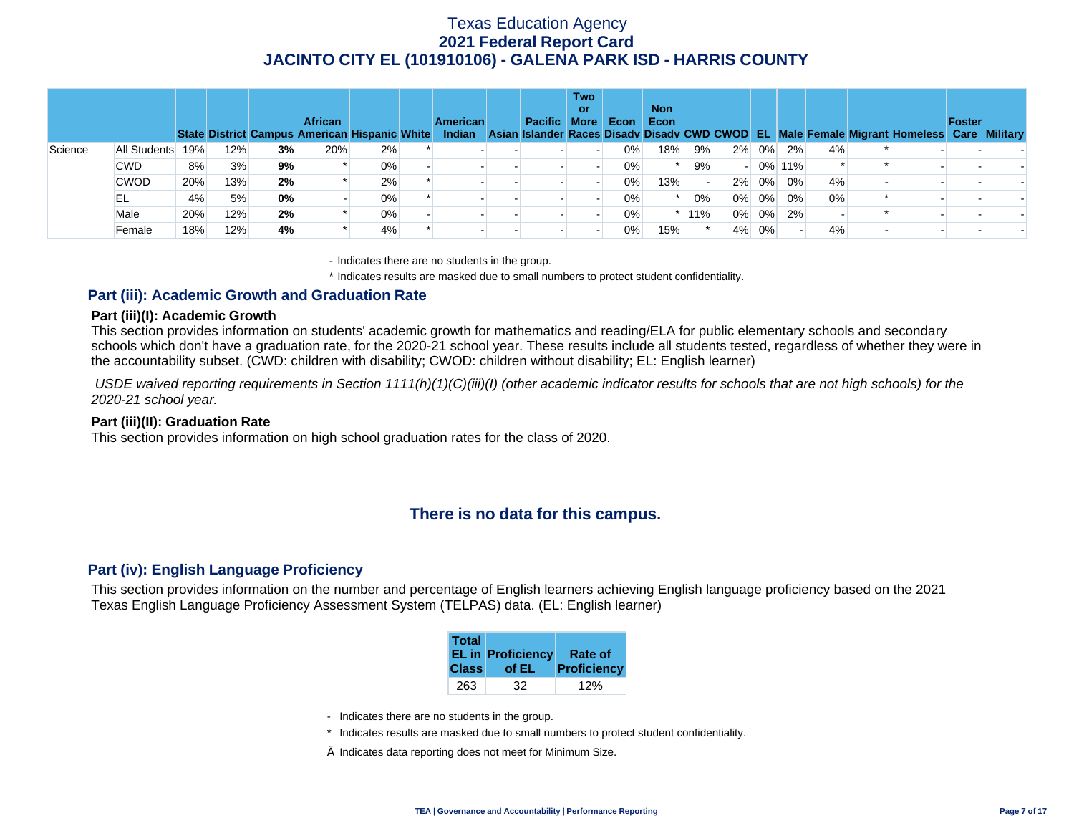|         |              |     |     |    | <b>African</b><br>State District Campus American Hispanic White |       | <b>American</b><br>Indian | Pacific More | <b>Two</b><br>or | Econ  | <b>Non</b><br>Econ |     |       |          |        |    | Asian Islander Races Disady Disady CWD CWOD EL Male Female Migrant Homeless Care Military | Foster |  |
|---------|--------------|-----|-----|----|-----------------------------------------------------------------|-------|---------------------------|--------------|------------------|-------|--------------------|-----|-------|----------|--------|----|-------------------------------------------------------------------------------------------|--------|--|
| Science | All Students | 19% | 12% | 3% | 20%                                                             | 2%    |                           |              |                  | $0\%$ | 18%                | 9%  |       | 2% 0%    | 2%     | 4% |                                                                                           |        |  |
|         | <b>CWD</b>   | 8%  | 3%  | 9% |                                                                 | 0%    |                           |              |                  | $0\%$ |                    | 9%  |       |          | 0% 11% |    |                                                                                           |        |  |
|         | <b>CWOD</b>  | 20% | 13% | 2% |                                                                 | 2%    |                           |              |                  | $0\%$ | 13%                |     |       | 2% 0%    | $0\%$  | 4% |                                                                                           |        |  |
|         | EL           | 4%  | 5%  | 0% |                                                                 | 0%    |                           |              |                  | $0\%$ |                    | 0%  | $0\%$ | $0\%$    | 0%     | 0% |                                                                                           |        |  |
|         | Male         | 20% | 12% | 2% |                                                                 | $0\%$ |                           |              |                  | $0\%$ |                    | 11% |       | $0\%$ 0% | 2%     |    |                                                                                           |        |  |
|         | Female       | 18% | 12% | 4% |                                                                 | 4%    |                           |              |                  | $0\%$ | 15%                |     | $4\%$ | 0%       |        | 4% |                                                                                           |        |  |

- Indicates there are no students in the group.

\* Indicates results are masked due to small numbers to protect student confidentiality.

### **Part (iii): Academic Growth and Graduation Rate**

#### **Part (iii)(I): Academic Growth**

This section provides information on students' academic growth for mathematics and reading/ELA for public elementary schools and secondary schools which don't have a graduation rate, for the 2020-21 school year. These results include all students tested, regardless of whether they were in the accountability subset. (CWD: children with disability; CWOD: children without disability; EL: English learner)

 *USDE waived reporting requirements in Section 1111(h)(1)(C)(iii)(I) (other academic indicator results for schools that are not high schools) for the 2020-21 school year.* 

#### **Part (iii)(II): Graduation Rate**

This section provides information on high school graduation rates for the class of 2020.

# **There is no data for this campus.**

### **Part (iv): English Language Proficiency**

This section provides information on the number and percentage of English learners achieving English language proficiency based on the 2021 Texas English Language Proficiency Assessment System (TELPAS) data. (EL: English learner)

| <b>Total</b> | <b>EL in Proficiency</b> | Rate of     |
|--------------|--------------------------|-------------|
| <b>Class</b> | of EL                    | Proficiency |
| 263          | 32                       |             |

- Indicates there are no students in the group.
- \* Indicates results are masked due to small numbers to protect student confidentiality.
- $\diamond$  Indicates data reporting does not meet for Minimum Size.